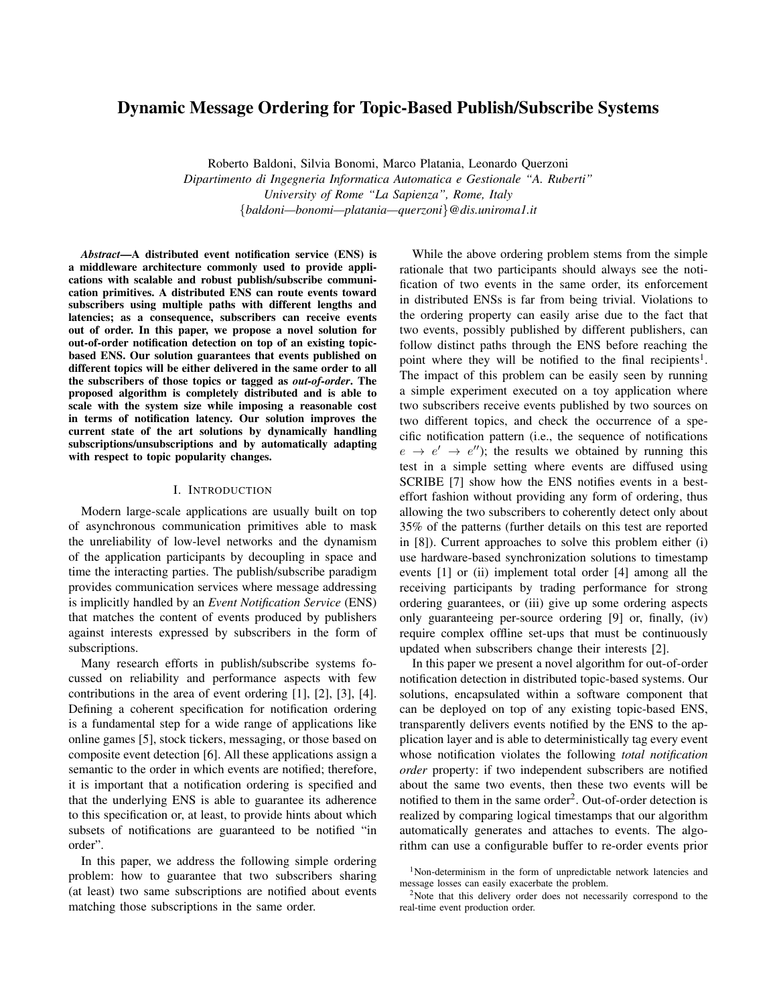# Dynamic Message Ordering for Topic-Based Publish/Subscribe Systems

Roberto Baldoni, Silvia Bonomi, Marco Platania, Leonardo Querzoni *Dipartimento di Ingegneria Informatica Automatica e Gestionale "A. Ruberti" University of Rome "La Sapienza", Rome, Italy* {*baldoni—bonomi—platania—querzoni*}*@dis.uniroma1.it*

*Abstract*—A distributed event notification service (ENS) is a middleware architecture commonly used to provide applications with scalable and robust publish/subscribe communication primitives. A distributed ENS can route events toward subscribers using multiple paths with different lengths and latencies; as a consequence, subscribers can receive events out of order. In this paper, we propose a novel solution for out-of-order notification detection on top of an existing topicbased ENS. Our solution guarantees that events published on different topics will be either delivered in the same order to all the subscribers of those topics or tagged as *out-of-order*. The proposed algorithm is completely distributed and is able to scale with the system size while imposing a reasonable cost in terms of notification latency. Our solution improves the current state of the art solutions by dynamically handling subscriptions/unsubscriptions and by automatically adapting with respect to topic popularity changes.

# I. INTRODUCTION

Modern large-scale applications are usually built on top of asynchronous communication primitives able to mask the unreliability of low-level networks and the dynamism of the application participants by decoupling in space and time the interacting parties. The publish/subscribe paradigm provides communication services where message addressing is implicitly handled by an *Event Notification Service* (ENS) that matches the content of events produced by publishers against interests expressed by subscribers in the form of subscriptions.

Many research efforts in publish/subscribe systems focussed on reliability and performance aspects with few contributions in the area of event ordering [1], [2], [3], [4]. Defining a coherent specification for notification ordering is a fundamental step for a wide range of applications like online games [5], stock tickers, messaging, or those based on composite event detection [6]. All these applications assign a semantic to the order in which events are notified; therefore, it is important that a notification ordering is specified and that the underlying ENS is able to guarantee its adherence to this specification or, at least, to provide hints about which subsets of notifications are guaranteed to be notified "in order".

In this paper, we address the following simple ordering problem: how to guarantee that two subscribers sharing (at least) two same subscriptions are notified about events matching those subscriptions in the same order.

While the above ordering problem stems from the simple rationale that two participants should always see the notification of two events in the same order, its enforcement in distributed ENSs is far from being trivial. Violations to the ordering property can easily arise due to the fact that two events, possibly published by different publishers, can follow distinct paths through the ENS before reaching the point where they will be notified to the final recipients<sup>1</sup>. The impact of this problem can be easily seen by running a simple experiment executed on a toy application where two subscribers receive events published by two sources on two different topics, and check the occurrence of a specific notification pattern (i.e., the sequence of notifications  $e \rightarrow e' \rightarrow e''$ ); the results we obtained by running this test in a simple setting where events are diffused using SCRIBE [7] show how the ENS notifies events in a besteffort fashion without providing any form of ordering, thus allowing the two subscribers to coherently detect only about 35% of the patterns (further details on this test are reported in [8]). Current approaches to solve this problem either (i) use hardware-based synchronization solutions to timestamp events [1] or (ii) implement total order [4] among all the receiving participants by trading performance for strong ordering guarantees, or (iii) give up some ordering aspects only guaranteeing per-source ordering [9] or, finally, (iv) require complex offline set-ups that must be continuously updated when subscribers change their interests [2].

In this paper we present a novel algorithm for out-of-order notification detection in distributed topic-based systems. Our solutions, encapsulated within a software component that can be deployed on top of any existing topic-based ENS, transparently delivers events notified by the ENS to the application layer and is able to deterministically tag every event whose notification violates the following *total notification order* property: if two independent subscribers are notified about the same two events, then these two events will be notified to them in the same order<sup>2</sup>. Out-of-order detection is realized by comparing logical timestamps that our algorithm automatically generates and attaches to events. The algorithm can use a configurable buffer to re-order events prior

<sup>1</sup>Non-determinism in the form of unpredictable network latencies and message losses can easily exacerbate the problem.

<sup>2</sup>Note that this delivery order does not necessarily correspond to the real-time event production order.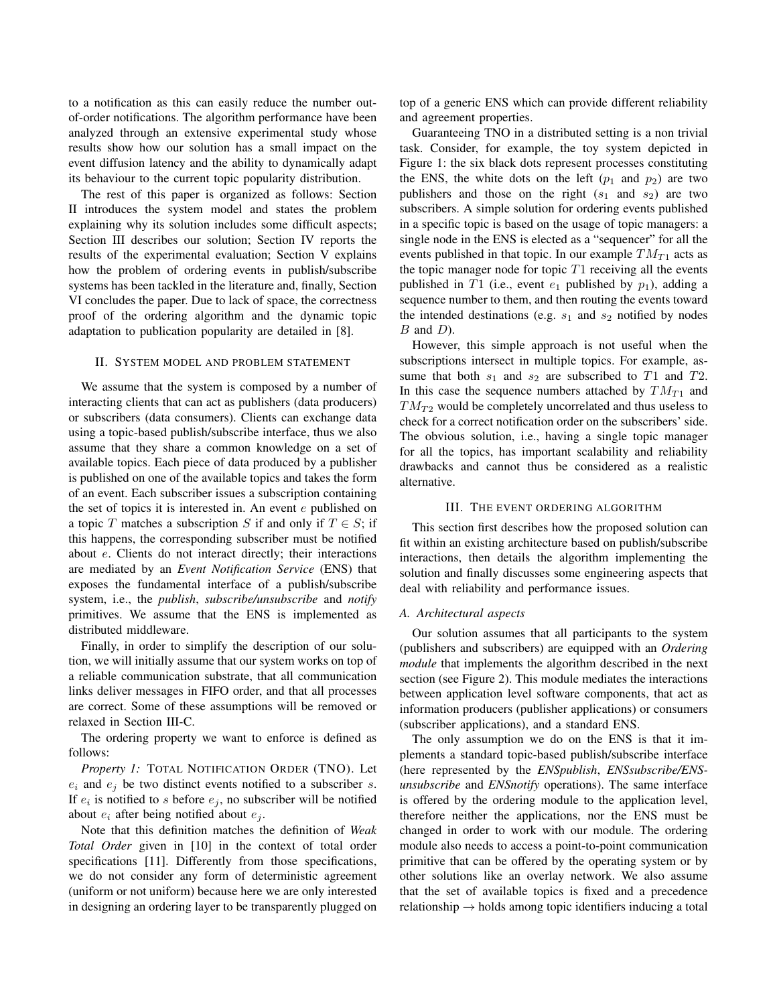to a notification as this can easily reduce the number outof-order notifications. The algorithm performance have been analyzed through an extensive experimental study whose results show how our solution has a small impact on the event diffusion latency and the ability to dynamically adapt its behaviour to the current topic popularity distribution.

The rest of this paper is organized as follows: Section II introduces the system model and states the problem explaining why its solution includes some difficult aspects; Section III describes our solution; Section IV reports the results of the experimental evaluation; Section V explains how the problem of ordering events in publish/subscribe systems has been tackled in the literature and, finally, Section VI concludes the paper. Due to lack of space, the correctness proof of the ordering algorithm and the dynamic topic adaptation to publication popularity are detailed in [8].

# II. SYSTEM MODEL AND PROBLEM STATEMENT

We assume that the system is composed by a number of interacting clients that can act as publishers (data producers) or subscribers (data consumers). Clients can exchange data using a topic-based publish/subscribe interface, thus we also assume that they share a common knowledge on a set of available topics. Each piece of data produced by a publisher is published on one of the available topics and takes the form of an event. Each subscriber issues a subscription containing the set of topics it is interested in. An event  $e$  published on a topic T matches a subscription S if and only if  $T \in S$ ; if this happens, the corresponding subscriber must be notified about e. Clients do not interact directly; their interactions are mediated by an *Event Notification Service* (ENS) that exposes the fundamental interface of a publish/subscribe system, i.e., the *publish*, *subscribe/unsubscribe* and *notify* primitives. We assume that the ENS is implemented as distributed middleware.

Finally, in order to simplify the description of our solution, we will initially assume that our system works on top of a reliable communication substrate, that all communication links deliver messages in FIFO order, and that all processes are correct. Some of these assumptions will be removed or relaxed in Section III-C.

The ordering property we want to enforce is defined as follows:

*Property 1:* TOTAL NOTIFICATION ORDER (TNO). Let  $e_i$  and  $e_j$  be two distinct events notified to a subscriber s. If  $e_i$  is notified to s before  $e_j$ , no subscriber will be notified about  $e_i$  after being notified about  $e_j$ .

Note that this definition matches the definition of *Weak Total Order* given in [10] in the context of total order specifications [11]. Differently from those specifications, we do not consider any form of deterministic agreement (uniform or not uniform) because here we are only interested in designing an ordering layer to be transparently plugged on top of a generic ENS which can provide different reliability and agreement properties.

Guaranteeing TNO in a distributed setting is a non trivial task. Consider, for example, the toy system depicted in Figure 1: the six black dots represent processes constituting the ENS, the white dots on the left  $(p_1 \text{ and } p_2)$  are two publishers and those on the right  $(s_1 \text{ and } s_2)$  are two subscribers. A simple solution for ordering events published in a specific topic is based on the usage of topic managers: a single node in the ENS is elected as a "sequencer" for all the events published in that topic. In our example  $TM_{T1}$  acts as the topic manager node for topic  $T1$  receiving all the events published in T1 (i.e., event  $e_1$  published by  $p_1$ ), adding a sequence number to them, and then routing the events toward the intended destinations (e.g.  $s_1$  and  $s_2$  notified by nodes  $B$  and  $D$ ).

However, this simple approach is not useful when the subscriptions intersect in multiple topics. For example, assume that both  $s_1$  and  $s_2$  are subscribed to T1 and T2. In this case the sequence numbers attached by  $TM_{T1}$  and  $TM_{T2}$  would be completely uncorrelated and thus useless to check for a correct notification order on the subscribers' side. The obvious solution, i.e., having a single topic manager for all the topics, has important scalability and reliability drawbacks and cannot thus be considered as a realistic alternative.

# III. THE EVENT ORDERING ALGORITHM

This section first describes how the proposed solution can fit within an existing architecture based on publish/subscribe interactions, then details the algorithm implementing the solution and finally discusses some engineering aspects that deal with reliability and performance issues.

# *A. Architectural aspects*

Our solution assumes that all participants to the system (publishers and subscribers) are equipped with an *Ordering module* that implements the algorithm described in the next section (see Figure 2). This module mediates the interactions between application level software components, that act as information producers (publisher applications) or consumers (subscriber applications), and a standard ENS.

The only assumption we do on the ENS is that it implements a standard topic-based publish/subscribe interface (here represented by the *ENSpublish*, *ENSsubscribe/ENSunsubscribe* and *ENSnotify* operations). The same interface is offered by the ordering module to the application level, therefore neither the applications, nor the ENS must be changed in order to work with our module. The ordering module also needs to access a point-to-point communication primitive that can be offered by the operating system or by other solutions like an overlay network. We also assume that the set of available topics is fixed and a precedence relationship  $\rightarrow$  holds among topic identifiers inducing a total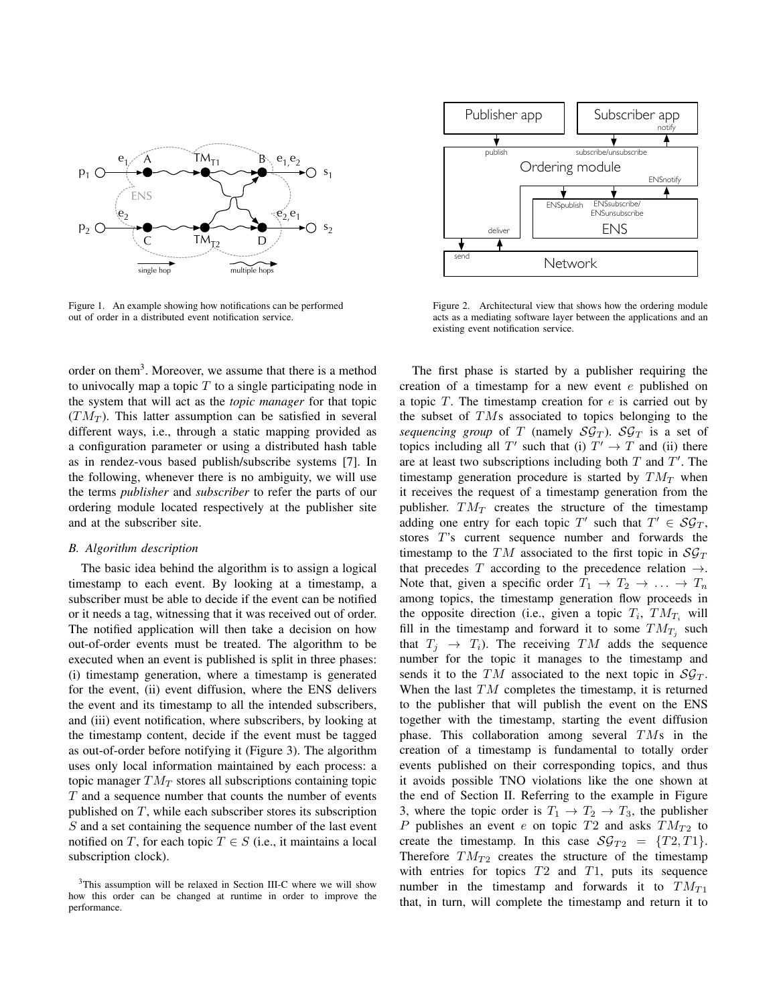

Figure 1. An example showing how notifications can be performed out of order in a distributed event notification service.

order on them<sup>3</sup>. Moreover, we assume that there is a method to univocally map a topic  $T$  to a single participating node in the system that will act as the *topic manager* for that topic  $(TM_T)$ . This latter assumption can be satisfied in several different ways, i.e., through a static mapping provided as a configuration parameter or using a distributed hash table as in rendez-vous based publish/subscribe systems [7]. In the following, whenever there is no ambiguity, we will use the terms *publisher* and *subscriber* to refer the parts of our ordering module located respectively at the publisher site and at the subscriber site.

#### *B. Algorithm description*

The basic idea behind the algorithm is to assign a logical timestamp to each event. By looking at a timestamp, a subscriber must be able to decide if the event can be notified or it needs a tag, witnessing that it was received out of order. The notified application will then take a decision on how out-of-order events must be treated. The algorithm to be executed when an event is published is split in three phases: (i) timestamp generation, where a timestamp is generated for the event, (ii) event diffusion, where the ENS delivers the event and its timestamp to all the intended subscribers, and (iii) event notification, where subscribers, by looking at the timestamp content, decide if the event must be tagged as out-of-order before notifying it (Figure 3). The algorithm uses only local information maintained by each process: a topic manager  $TM_T$  stores all subscriptions containing topic T and a sequence number that counts the number of events published on  $T$ , while each subscriber stores its subscription S and a set containing the sequence number of the last event notified on T, for each topic  $T \in S$  (i.e., it maintains a local subscription clock).



Figure 2. Architectural view that shows how the ordering module acts as a mediating software layer between the applications and an existing event notification service.

The first phase is started by a publisher requiring the creation of a timestamp for a new event e published on a topic  $T$ . The timestamp creation for  $e$  is carried out by the subset of TMs associated to topics belonging to the *sequencing group* of T (namely  $SG_T$ ).  $SG_T$  is a set of topics including all T' such that (i)  $T' \rightarrow T$  and (ii) there are at least two subscriptions including both  $T$  and  $T'$ . The timestamp generation procedure is started by  $TM_T$  when it receives the request of a timestamp generation from the publisher.  $TM_T$  creates the structure of the timestamp adding one entry for each topic T' such that  $T' \in \mathcal{SG}_T$ , stores T's current sequence number and forwards the timestamp to the TM associated to the first topic in  $\mathcal{SG}_T$ that precedes T according to the precedence relation  $\rightarrow$ . Note that, given a specific order  $T_1 \rightarrow T_2 \rightarrow \ldots \rightarrow T_n$ among topics, the timestamp generation flow proceeds in the opposite direction (i.e., given a topic  $T_i$ ,  $TM_{T_i}$  will fill in the timestamp and forward it to some  $TM_{T_j}$  such that  $T_j \rightarrow T_i$ ). The receiving TM adds the sequence number for the topic it manages to the timestamp and sends it to the TM associated to the next topic in  $\mathcal{SG}_T$ . When the last  $TM$  completes the timestamp, it is returned to the publisher that will publish the event on the ENS together with the timestamp, starting the event diffusion phase. This collaboration among several TMs in the creation of a timestamp is fundamental to totally order events published on their corresponding topics, and thus it avoids possible TNO violations like the one shown at the end of Section II. Referring to the example in Figure 3, where the topic order is  $T_1 \rightarrow T_2 \rightarrow T_3$ , the publisher P publishes an event e on topic T2 and asks  $TM_{T2}$  to create the timestamp. In this case  $\mathcal{SG}_{T2} = \{T2, T1\}.$ Therefore  $TM_{T2}$  creates the structure of the timestamp with entries for topics  $T2$  and  $T1$ , puts its sequence number in the timestamp and forwards it to  $TM_{T1}$ that, in turn, will complete the timestamp and return it to

<sup>&</sup>lt;sup>3</sup>This assumption will be relaxed in Section III-C where we will show how this order can be changed at runtime in order to improve the performance.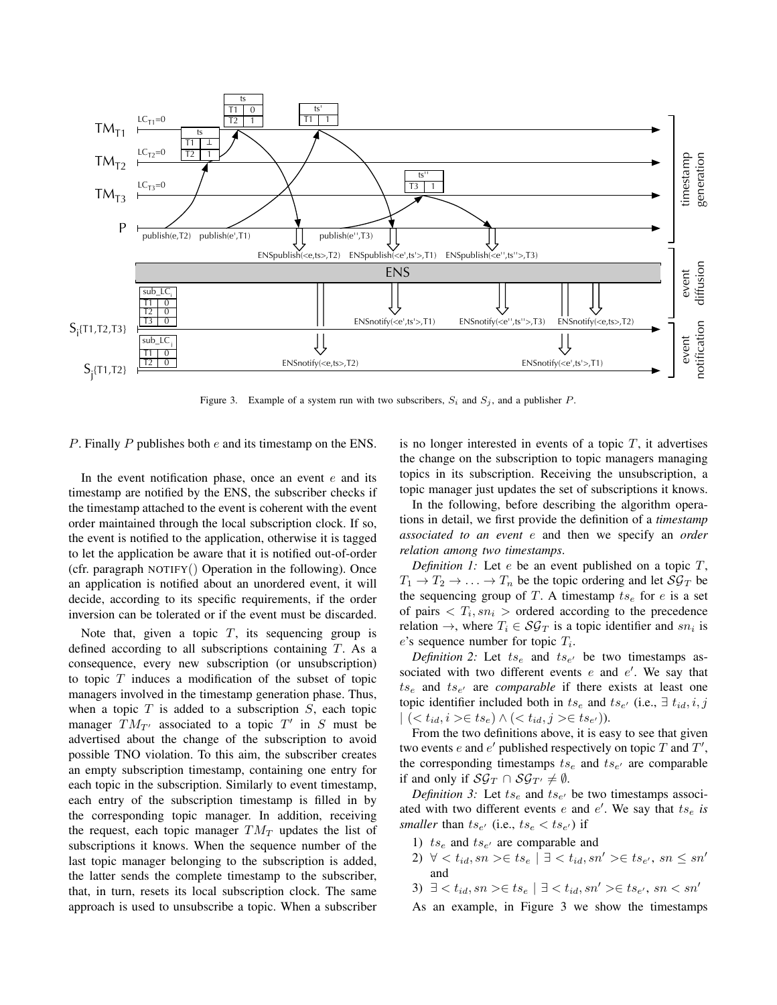

Figure 3. Example of a system run with two subscribers,  $S_i$  and  $S_j$ , and a publisher P.

P. Finally P publishes both  $e$  and its timestamp on the ENS.

In the event notification phase, once an event  $e$  and its timestamp are notified by the ENS, the subscriber checks if the timestamp attached to the event is coherent with the event order maintained through the local subscription clock. If so, the event is notified to the application, otherwise it is tagged to let the application be aware that it is notified out-of-order (cfr. paragraph  $NOTIFY()$  Operation in the following). Once an application is notified about an unordered event, it will decide, according to its specific requirements, if the order inversion can be tolerated or if the event must be discarded.

Note that, given a topic  $T$ , its sequencing group is defined according to all subscriptions containing  $T$ . As a consequence, every new subscription (or unsubscription) to topic  $T$  induces a modification of the subset of topic managers involved in the timestamp generation phase. Thus, when a topic  $T$  is added to a subscription  $S$ , each topic manager  $TM_{T'}$  associated to a topic  $T'$  in S must be advertised about the change of the subscription to avoid possible TNO violation. To this aim, the subscriber creates an empty subscription timestamp, containing one entry for each topic in the subscription. Similarly to event timestamp, each entry of the subscription timestamp is filled in by the corresponding topic manager. In addition, receiving the request, each topic manager  $TM_T$  updates the list of subscriptions it knows. When the sequence number of the last topic manager belonging to the subscription is added, the latter sends the complete timestamp to the subscriber, that, in turn, resets its local subscription clock. The same approach is used to unsubscribe a topic. When a subscriber is no longer interested in events of a topic  $T$ , it advertises the change on the subscription to topic managers managing topics in its subscription. Receiving the unsubscription, a topic manager just updates the set of subscriptions it knows.

In the following, before describing the algorithm operations in detail, we first provide the definition of a *timestamp associated to an event* e and then we specify an *order relation among two timestamps*.

*Definition 1:* Let  $e$  be an event published on a topic  $T$ ,  $T_1 \rightarrow T_2 \rightarrow \ldots \rightarrow T_n$  be the topic ordering and let  $\mathcal{SG}_T$  be the sequencing group of T. A timestamp  $ts_e$  for e is a set of pairs  $\langle T_i, sn_i \rangle$  ordered according to the precedence relation  $\rightarrow$ , where  $T_i \in \mathcal{SG}_T$  is a topic identifier and  $sn_i$  is  $e$ 's sequence number for topic  $T_i$ .

*Definition 2:* Let  $ts_e$  and  $ts_{e'}$  be two timestamps associated with two different events  $e$  and  $e'$ . We say that  $ts_e$  and  $ts_{e'}$  are *comparable* if there exists at least one topic identifier included both in  $ts_e$  and  $ts_{e'}$  (i.e.,  $\exists t_{id}, i, j$  $| ( < t_{id}, i > \in ts_e) \land ( < t_{id}, j > \in ts_{e'})).$ 

From the two definitions above, it is easy to see that given two events e and  $e'$  published respectively on topic T and  $T'$ , the corresponding timestamps  $ts_e$  and  $ts_{e'}$  are comparable if and only if  $\mathcal{SG}_T \cap \mathcal{SG}_{T'} \neq \emptyset$ .

*Definition 3:* Let  $ts_e$  and  $ts_{e'}$  be two timestamps associated with two different events  $e$  and  $e'$ . We say that  $ts_e$  is *smaller* than  $ts_{e'}$  (i.e.,  $ts_e < ts_{e'}$ ) if

- 1)  $ts_e$  and  $ts_{e'}$  are comparable and
- 2)  $\forall < t_{id}, sn > \in ts_e \mid \exists < t_{id}, sn' > \in ts_{e'}, sn \le sn'$ and
- 3)  $\exists < t_{id}, sn > \in ts_e \mid \exists < t_{id}, sn' > \in ts_{e'}, sn < sn'$
- As an example, in Figure 3 we show the timestamps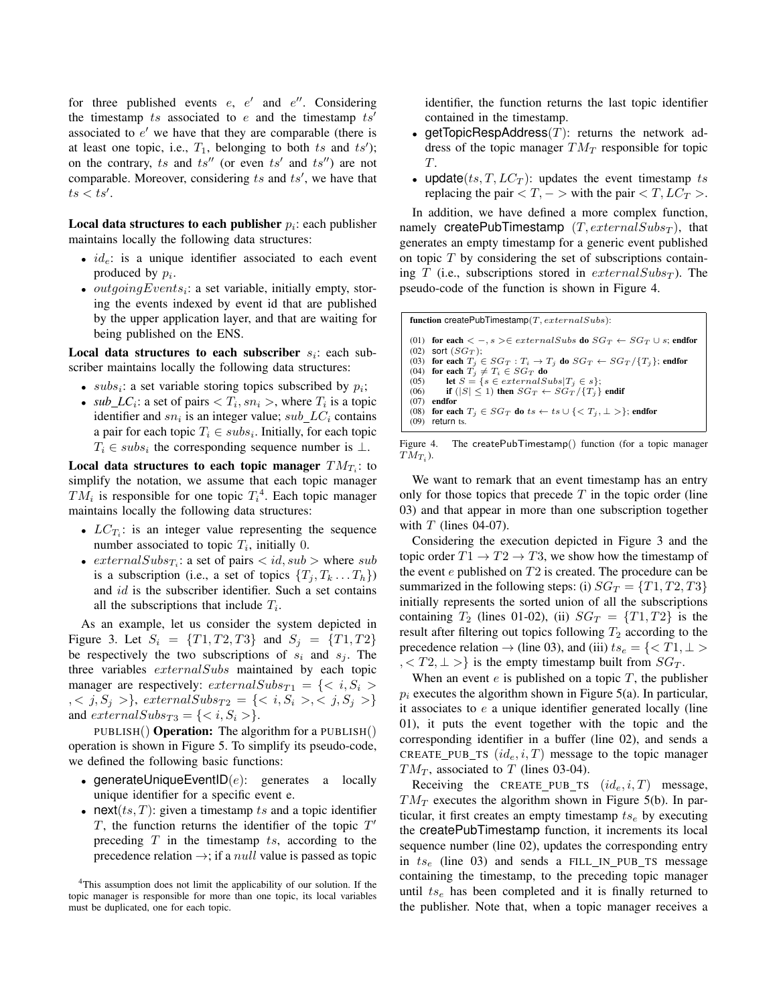for three published events  $e$ ,  $e'$  and  $e''$ . Considering the timestamp ts associated to  $e$  and the timestamp ts' associated to  $e'$  we have that they are comparable (there is at least one topic, i.e.,  $T_1$ , belonging to both ts and ts'); on the contrary, ts and ts" (or even ts' and ts") are not comparable. Moreover, considering  $ts$  and  $ts'$ , we have that  $ts < ts'$ .

Local data structures to each publisher  $p_i$ : each publisher maintains locally the following data structures:

- $id_e$ : is a unique identifier associated to each event produced by  $p_i$ .
- $\bullet$  outgoing Events<sub>i</sub>: a set variable, initially empty, storing the events indexed by event id that are published by the upper application layer, and that are waiting for being published on the ENS.

**Local data structures to each subscriber**  $s_i$ : each subscriber maintains locally the following data structures:

- $subs_i$ : a set variable storing topics subscribed by  $p_i$ ;
- *sub*  $LC_i$ : a set of pairs  $>, where  $T_i$  is a topic$ identifier and  $sn_i$  is an integer value;  $sub\_LC_i$  contains a pair for each topic  $T_i \in \text{subs}_i$ . Initially, for each topic  $T_i \in \text{subs}_i$  the corresponding sequence number is  $\perp$ .

**Local data structures to each topic manager**  $TM_{T_i}$ : to simplify the notation, we assume that each topic manager  $TM_i$  is responsible for one topic  $T_i^4$ . Each topic manager maintains locally the following data structures:

- $LC_{T_i}$ : is an integer value representing the sequence number associated to topic  $T_i$ , initially 0.
- $externalSubs_{T_i}:$  a set of pairs  $$ is a subscription (i.e., a set of topics  $\{T_i, T_k \dots T_h\}$ ) and id is the subscriber identifier. Such a set contains all the subscriptions that include  $T_i$ .

As an example, let us consider the system depicted in Figure 3. Let  $S_i = \{T1, T2, T3\}$  and  $S_j = \{T1, T2\}$ be respectively the two subscriptions of  $s_i$  and  $s_j$ . The three variables externalSubs maintained by each topic manager are respectively:  $externalSubs_{T1} = \{ \langle i, S_i \rangle \}$  $\{ \langle s, s \rangle, \langle s, s \rangle, \langle s \rangle, \langle s \rangle, \langle s \rangle, \langle s \rangle, \langle s \rangle, \langle s \rangle, \langle s \rangle, \langle s \rangle, \langle s \rangle, \langle s \rangle, \langle s \rangle, \langle s \rangle, \langle s \rangle, \langle s \rangle, \langle s \rangle, \langle s \rangle, \langle s \rangle, \langle s \rangle, \langle s \rangle, \langle s \rangle, \langle s \rangle, \langle s \rangle, \langle s \rangle, \langle s \rangle, \langle s \rangle, \langle s \rangle, \langle s \rangle, \langle s \rangle, \langle s \rangle, \langle s \rangle, \langle s \rangle, \langle s \rangle, \langle s \rangle, \langle s \$ and  $externalSubs_{T3} = \{ \langle i, S_i \rangle \}.$ 

PUBLISH() Operation: The algorithm for a PUBLISH() operation is shown in Figure 5. To simplify its pseudo-code, we defined the following basic functions:

- generateUniqueEventID $(e)$ : generates a locally unique identifier for a specific event e.
- next( $ts, T$ ): given a timestamp  $ts$  and a topic identifier  $T$ , the function returns the identifier of the topic  $T'$ preceding  $T$  in the timestamp  $ts$ , according to the precedence relation  $\rightarrow$ ; if a *null* value is passed as topic

identifier, the function returns the last topic identifier contained in the timestamp.

- getTopicRespAddress $(T)$ : returns the network address of the topic manager  $TM_T$  responsible for topic T.
- update  $(ts, T, LC_T)$ : updates the event timestamp ts replacing the pair  $\langle T, -\rangle$  with the pair  $\langle T, LC_T \rangle$ .

In addition, we have defined a more complex function, namely createPubTimestamp  $(T, externalSubs_T)$ , that generates an empty timestamp for a generic event published on topic  $T$  by considering the set of subscriptions containing T (i.e., subscriptions stored in  $\text{externalSubs}_T$ ). The pseudo-code of the function is shown in Figure 4.

```
function createPubTimestamp(T, externalSubs):
(01) for each \langle -, s \rangle \in externalSubs do SG_T \leftarrow SG_T \cup s; endfor
(02) sort (SG_T);
(03) for each T_j \in SG_T : T_i \to T_j do SG_T \leftarrow SG_T / \{T_j\}; endfor
(04) for each T_j \neq T_i \in SG_T do<br>(05) let S = \{s \in externalSu\}(05) let S = \{s \in externalSubs | T_j \in s\};<br>(06) if (|S| \le 1) then SG_T \leftarrow SG_T / \{T_i\}(06) if (|S| \le 1) then SG_T \leftarrow SG_T / \{T_j\} endif<br>(07) endfor
(07) endfor<br>(08) for ead
(08) for each T_j \in SG_T do ts \leftarrow ts \cup \{ \langle T_j, \bot \rangle \}; endfor (09) return ts.
       return ts.
```
Figure 4. The createPubTimestamp() function (for a topic manager  $TM_{T_i}$ ).

We want to remark that an event timestamp has an entry only for those topics that precede  $T$  in the topic order (line 03) and that appear in more than one subscription together with  $T$  (lines 04-07).

Considering the execution depicted in Figure 3 and the topic order  $T1 \rightarrow T2 \rightarrow T3$ , we show how the timestamp of the event  $e$  published on  $T2$  is created. The procedure can be summarized in the following steps: (i)  $SG_T = \{T1, T2, T3\}$ initially represents the sorted union of all the subscriptions containing  $T_2$  (lines 01-02), (ii)  $SG_T = \{T1, T2\}$  is the result after filtering out topics following  $T_2$  according to the precedence relation  $\rightarrow$  (line 03), and (iii)  $ts_e = \{ \langle T1, \perp \rangle$  $\{z, z \leq T2, \bot \geq \}$  is the empty timestamp built from  $SG_T$ .

When an event  $e$  is published on a topic  $T$ , the publisher  $p_i$  executes the algorithm shown in Figure 5(a). In particular, it associates to  $e$  a unique identifier generated locally (line 01), it puts the event together with the topic and the corresponding identifier in a buffer (line 02), and sends a CREATE\_PUB\_TS  $(id_e, i, T)$  message to the topic manager  $TM_T$ , associated to T (lines 03-04).

Receiving the CREATE\_PUB\_TS  $(id_e, i, T)$  message,  $TM_T$  executes the algorithm shown in Figure 5(b). In particular, it first creates an empty timestamp  $ts_e$  by executing the createPubTimestamp function, it increments its local sequence number (line 02), updates the corresponding entry in  $ts_e$  (line 03) and sends a FILL IN PUB TS message containing the timestamp, to the preceding topic manager until  $ts_e$  has been completed and it is finally returned to the publisher. Note that, when a topic manager receives a

<sup>4</sup>This assumption does not limit the applicability of our solution. If the topic manager is responsible for more than one topic, its local variables must be duplicated, one for each topic.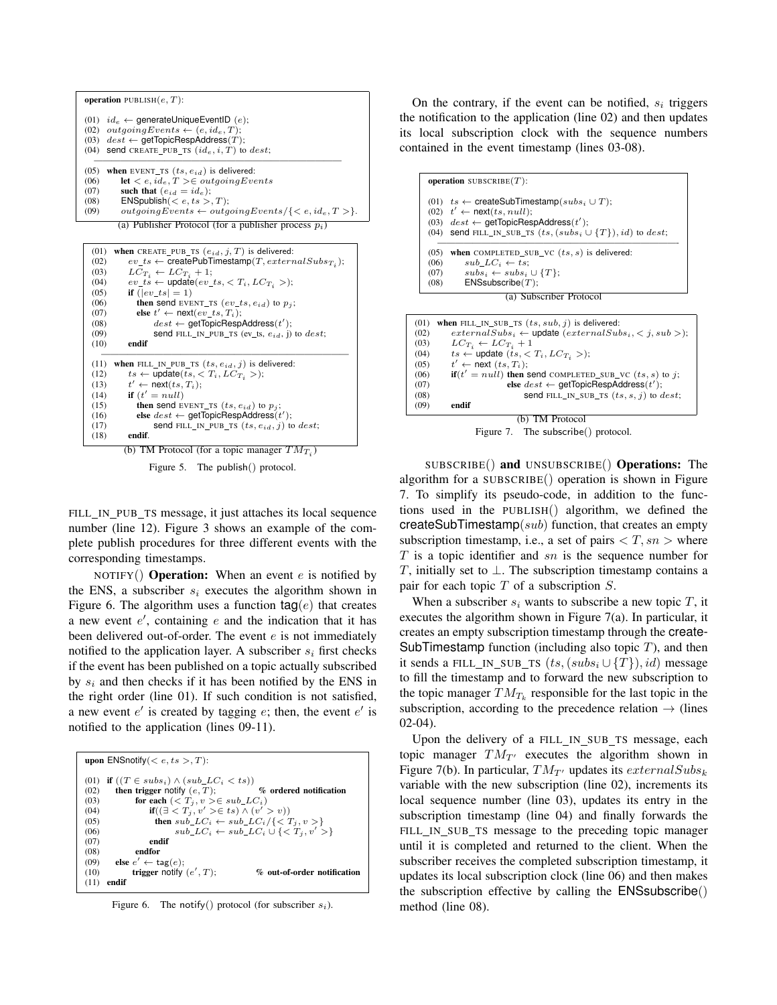operation  $\text{PUBLISH}(e, T)$ : (01)  $id_e \leftarrow$  generateUniqueEventID  $(e)$ ; (02)  $outgoingEvents \leftarrow (e, id_e, T);$ (03)  $dest \leftarrow getTopicResponseAddress(T);$ (04) send CREATE\_PUB\_TS  $(id_e, i, T)$  to  $dest;$ ———————————————————————————— (05) when EVENT\_TS  $(ts, e_{id})$  is delivered:<br>(06) let  $\lt e$ , id.,  $T \gt \in outgoingEve$  $\text{let } < e, id_e, T> \in outgoingEvents$ (07) such that  $(e_{id} = id_e);$ <br>(08) ENSpublish(< e. ts >. (08) ENSpublish  $(< e, ts > T);$ <br>(09) outgoing Events  $\leftarrow$  outg  $outgoingEvents \leftarrow outgoingEvents / \{ < e, id_e, T > \}.$ (a) Publisher Protocol (for a publisher process  $p_i$ )

| (01) | when CREATE_PUB_TS $(e_{id}, j, T)$ is delivered:                         |
|------|---------------------------------------------------------------------------|
| (02) | $ev\_ts \leftarrow \text{createPubTimestamp}(T, externalSubs_{T_i});$     |
| (03) | $LC_{T_i} \leftarrow LC_{T_i} + 1;$                                       |
| (04) | $ev\_ts \leftarrow \text{update}(ev\_ts, \langle T_i, LC_{T_i} \rangle);$ |
| (05) | <b>if</b> $( ev_{s}  = 1)$                                                |
| (06) | then send EVENT_TS $(ev\_ts, e_{id})$ to $p_i$ ;                          |
| (07) | else $t' \leftarrow \text{next}(ev \ ts, T_i);$                           |
| (08) | $dest \leftarrow$ getTopicRespAddress( $t'$ );                            |
| (09) | send FILL IN PUB TS (ev ts, $e_{id}$ , j) to $dest$ ;                     |
| (10) | endif                                                                     |
|      |                                                                           |
| (11) | <b>when</b> FILL_IN_PUB_TS $(ts, e_{id}, j)$ is delivered:                |
| (12) | $ts \leftarrow \text{update}(ts, \langle T_i, LC_{T_i} \rangle);$         |
| (13) | $t' \leftarrow \text{next}(ts, T_i);$                                     |
| (14) | if $(t' = null)$                                                          |
| (15) | <b>then send</b> EVENT TS $(ts, e_{id})$ to $p_i$ ;                       |
| (16) | else $dest \leftarrow \text{getTopicResponseAddress}(t')$ ;               |
| (17) | send FILL_IN_PUB_TS $(ts, e_{id}, j)$ to $dest;$                          |
| (18) | endif.                                                                    |
|      | (b) TM Protocol (for a topic manager $TM_{T_1}$ )                         |
|      |                                                                           |

Figure 5. The publish() protocol.

FILL IN PUB TS message, it just attaches its local sequence number (line 12). Figure 3 shows an example of the complete publish procedures for three different events with the corresponding timestamps.

NOTIFY() **Operation:** When an event  $e$  is notified by the ENS, a subscriber  $s_i$  executes the algorithm shown in Figure 6. The algorithm uses a function  $tag(e)$  that creates a new event  $e'$ , containing  $e$  and the indication that it has been delivered out-of-order. The event  $e$  is not immediately notified to the application layer. A subscriber  $s_i$  first checks if the event has been published on a topic actually subscribed by  $s_i$  and then checks if it has been notified by the ENS in the right order (line 01). If such condition is not satisfied, a new event  $e'$  is created by tagging  $e$ ; then, the event  $e'$  is notified to the application (lines 09-11).

|      | upon ENSnotify $(e, ts > T):$                                          |
|------|------------------------------------------------------------------------|
| (01) | if $((T \in subs_i) \wedge (sub\_LC_i < ts))$                          |
| (02) | then trigger notify $(e, T)$ ;<br>% ordered notification               |
| (03) | for each $(Ti, v> \in sub LCi)$                                        |
| (04) | $\textbf{if}((\exists \langle T_i, v' \rangle \in ts) \land (v' > v))$ |
| (05) | then $sub\_LC_i \leftarrow sub\_LC_i / \{  \}$                         |
| (06) | $sub\_LC_i \leftarrow sub\_LC_i \cup \{ \langle T_i, v' \rangle \}$    |
| (07) | endif                                                                  |
| (08) | endfor                                                                 |
| (09) | else $e' \leftarrow \text{tag}(e);$                                    |
| (10) | trigger notify $(e', T)$ ;<br>% out-of-order notification              |
| (11) | endif                                                                  |

Figure 6. The notify() protocol (for subscriber  $s_i$ ).

On the contrary, if the event can be notified,  $s_i$  triggers the notification to the application (line 02) and then updates its local subscription clock with the sequence numbers contained in the event timestamp (lines 03-08).





SUBSCRIBE() and UNSUBSCRIBE() Operations: The algorithm for a SUBSCRIBE() operation is shown in Figure 7. To simplify its pseudo-code, in addition to the functions used in the PUBLISH() algorithm, we defined the createSubTimestamp( $sub$ ) function, that creates an empty subscription timestamp, i.e., a set of pairs  $\langle T, sn \rangle$  where  $T$  is a topic identifier and sn is the sequence number for T, initially set to  $\bot$ . The subscription timestamp contains a pair for each topic  $T$  of a subscription  $S$ .

When a subscriber  $s_i$  wants to subscribe a new topic  $T$ , it executes the algorithm shown in Figure 7(a). In particular, it creates an empty subscription timestamp through the create-SubTimestamp function (including also topic  $T$ ), and then it sends a FILL\_IN\_SUB\_TS  $(ts, (subs_i \cup \{T\}), id)$  message to fill the timestamp and to forward the new subscription to the topic manager  $TM_{T_k}$  responsible for the last topic in the subscription, according to the precedence relation  $\rightarrow$  (lines 02-04).

Upon the delivery of a FILL\_IN\_SUB\_TS message, each topic manager  $TM_{T}$  executes the algorithm shown in Figure 7(b). In particular,  $TM_{T}$  updates its  $externalSubs_k$ variable with the new subscription (line 02), increments its local sequence number (line 03), updates its entry in the subscription timestamp (line 04) and finally forwards the FILL\_IN\_SUB\_TS message to the preceding topic manager until it is completed and returned to the client. When the subscriber receives the completed subscription timestamp, it updates its local subscription clock (line 06) and then makes the subscription effective by calling the ENSsubscribe() method (line 08).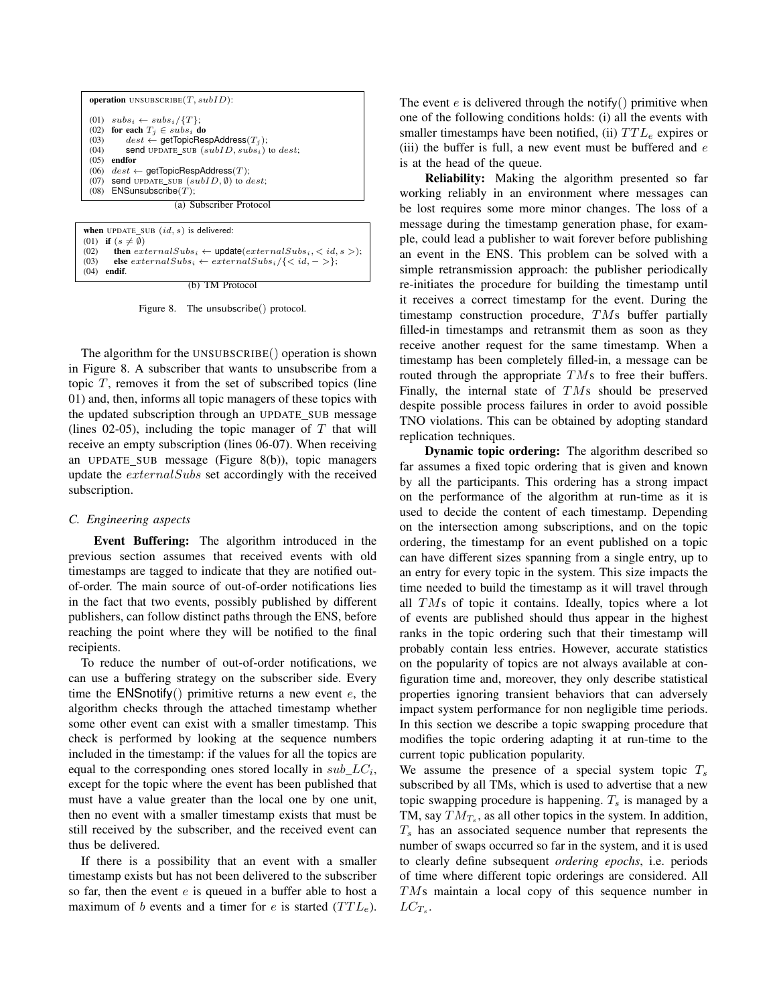

| when UPDATE_SUB $(id, s)$ is delivered:                                                        |  |
|------------------------------------------------------------------------------------------------|--|
| (01) if $(s \neq \emptyset)$                                                                   |  |
| <b>then</b> $externalSubs_i \leftarrow update(externalSubs_i, \langle id, s \rangle);$<br>(02) |  |
| else external $Subs_i \leftarrow externalSubs_i/\{\langle id, -\rangle\}$ :<br>(03)            |  |
| (04)<br>endif.                                                                                 |  |
|                                                                                                |  |

(b) TM Protocol

Figure 8. The unsubscribe() protocol.

The algorithm for the UNSUBSCRIBE() operation is shown in Figure 8. A subscriber that wants to unsubscribe from a topic  $T$ , removes it from the set of subscribed topics (line 01) and, then, informs all topic managers of these topics with the updated subscription through an UPDATE SUB message (lines 02-05), including the topic manager of  $T$  that will receive an empty subscription (lines 06-07). When receiving an UPDATE SUB message (Figure 8(b)), topic managers update the externalSubs set accordingly with the received subscription.

# *C. Engineering aspects*

Event Buffering: The algorithm introduced in the previous section assumes that received events with old timestamps are tagged to indicate that they are notified outof-order. The main source of out-of-order notifications lies in the fact that two events, possibly published by different publishers, can follow distinct paths through the ENS, before reaching the point where they will be notified to the final recipients.

To reduce the number of out-of-order notifications, we can use a buffering strategy on the subscriber side. Every time the ENSnotify() primitive returns a new event  $e$ , the algorithm checks through the attached timestamp whether some other event can exist with a smaller timestamp. This check is performed by looking at the sequence numbers included in the timestamp: if the values for all the topics are equal to the corresponding ones stored locally in  $sub\_LC_i$ , except for the topic where the event has been published that must have a value greater than the local one by one unit, then no event with a smaller timestamp exists that must be still received by the subscriber, and the received event can thus be delivered.

If there is a possibility that an event with a smaller timestamp exists but has not been delivered to the subscriber so far, then the event  $e$  is queued in a buffer able to host a maximum of b events and a timer for e is started  $(TTL_e)$ . The event  $e$  is delivered through the notify() primitive when one of the following conditions holds: (i) all the events with smaller timestamps have been notified, (ii)  $TTL<sub>e</sub>$  expires or (iii) the buffer is full, a new event must be buffered and  $e$ is at the head of the queue.

Reliability: Making the algorithm presented so far working reliably in an environment where messages can be lost requires some more minor changes. The loss of a message during the timestamp generation phase, for example, could lead a publisher to wait forever before publishing an event in the ENS. This problem can be solved with a simple retransmission approach: the publisher periodically re-initiates the procedure for building the timestamp until it receives a correct timestamp for the event. During the timestamp construction procedure, TMs buffer partially filled-in timestamps and retransmit them as soon as they receive another request for the same timestamp. When a timestamp has been completely filled-in, a message can be routed through the appropriate TMs to free their buffers. Finally, the internal state of TMs should be preserved despite possible process failures in order to avoid possible TNO violations. This can be obtained by adopting standard replication techniques.

Dynamic topic ordering: The algorithm described so far assumes a fixed topic ordering that is given and known by all the participants. This ordering has a strong impact on the performance of the algorithm at run-time as it is used to decide the content of each timestamp. Depending on the intersection among subscriptions, and on the topic ordering, the timestamp for an event published on a topic can have different sizes spanning from a single entry, up to an entry for every topic in the system. This size impacts the time needed to build the timestamp as it will travel through all TMs of topic it contains. Ideally, topics where a lot of events are published should thus appear in the highest ranks in the topic ordering such that their timestamp will probably contain less entries. However, accurate statistics on the popularity of topics are not always available at configuration time and, moreover, they only describe statistical properties ignoring transient behaviors that can adversely impact system performance for non negligible time periods. In this section we describe a topic swapping procedure that modifies the topic ordering adapting it at run-time to the current topic publication popularity.

We assume the presence of a special system topic  $T_s$ subscribed by all TMs, which is used to advertise that a new topic swapping procedure is happening.  $T<sub>s</sub>$  is managed by a TM, say  $TM_{T_s}$ , as all other topics in the system. In addition,  $T<sub>s</sub>$  has an associated sequence number that represents the number of swaps occurred so far in the system, and it is used to clearly define subsequent *ordering epochs*, i.e. periods of time where different topic orderings are considered. All TMs maintain a local copy of this sequence number in  $LC_{T_s}$ .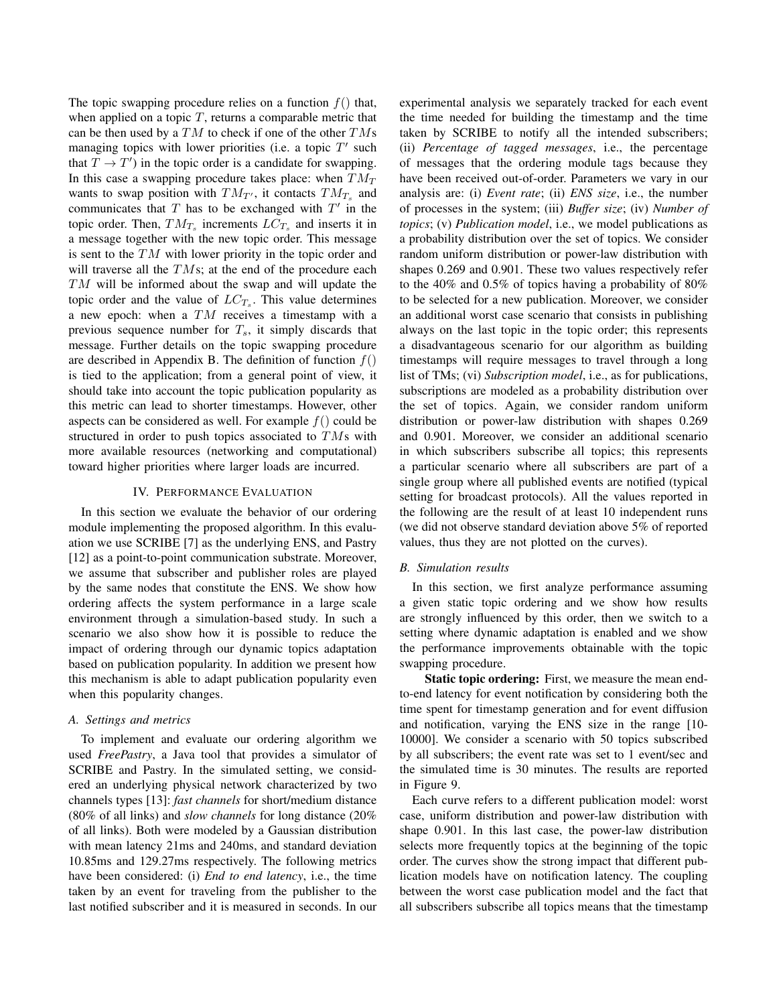The topic swapping procedure relies on a function  $f()$  that, when applied on a topic  $T$ , returns a comparable metric that can be then used by a  $TM$  to check if one of the other  $TMs$ managing topics with lower priorities (i.e. a topic  $T'$  such that  $T \to T'$ ) in the topic order is a candidate for swapping. In this case a swapping procedure takes place: when  $TM_T$ wants to swap position with  $TM_{T'}$ , it contacts  $TM_{T_s}$  and communicates that  $T$  has to be exchanged with  $T'$  in the topic order. Then,  $TM_{T_s}$  increments  $LC_{T_s}$  and inserts it in a message together with the new topic order. This message is sent to the  $TM$  with lower priority in the topic order and will traverse all the  $T\overline{M}s$ ; at the end of the procedure each TM will be informed about the swap and will update the topic order and the value of  $LC_{T_s}$ . This value determines a new epoch: when a TM receives a timestamp with a previous sequence number for  $T_s$ , it simply discards that message. Further details on the topic swapping procedure are described in Appendix B. The definition of function  $f()$ is tied to the application; from a general point of view, it should take into account the topic publication popularity as this metric can lead to shorter timestamps. However, other aspects can be considered as well. For example  $f()$  could be structured in order to push topics associated to TMs with more available resources (networking and computational) toward higher priorities where larger loads are incurred.

#### IV. PERFORMANCE EVALUATION

In this section we evaluate the behavior of our ordering module implementing the proposed algorithm. In this evaluation we use SCRIBE [7] as the underlying ENS, and Pastry [12] as a point-to-point communication substrate. Moreover, we assume that subscriber and publisher roles are played by the same nodes that constitute the ENS. We show how ordering affects the system performance in a large scale environment through a simulation-based study. In such a scenario we also show how it is possible to reduce the impact of ordering through our dynamic topics adaptation based on publication popularity. In addition we present how this mechanism is able to adapt publication popularity even when this popularity changes.

# *A. Settings and metrics*

To implement and evaluate our ordering algorithm we used *FreePastry*, a Java tool that provides a simulator of SCRIBE and Pastry. In the simulated setting, we considered an underlying physical network characterized by two channels types [13]: *fast channels* for short/medium distance (80% of all links) and *slow channels* for long distance (20% of all links). Both were modeled by a Gaussian distribution with mean latency 21ms and 240ms, and standard deviation 10.85ms and 129.27ms respectively. The following metrics have been considered: (i) *End to end latency*, i.e., the time taken by an event for traveling from the publisher to the last notified subscriber and it is measured in seconds. In our experimental analysis we separately tracked for each event the time needed for building the timestamp and the time taken by SCRIBE to notify all the intended subscribers; (ii) *Percentage of tagged messages*, i.e., the percentage of messages that the ordering module tags because they have been received out-of-order. Parameters we vary in our analysis are: (i) *Event rate*; (ii) *ENS size*, i.e., the number of processes in the system; (iii) *Buffer size*; (iv) *Number of topics*; (v) *Publication model*, i.e., we model publications as a probability distribution over the set of topics. We consider random uniform distribution or power-law distribution with shapes 0.269 and 0.901. These two values respectively refer to the 40% and 0.5% of topics having a probability of 80% to be selected for a new publication. Moreover, we consider an additional worst case scenario that consists in publishing always on the last topic in the topic order; this represents a disadvantageous scenario for our algorithm as building timestamps will require messages to travel through a long list of TMs; (vi) *Subscription model*, i.e., as for publications, subscriptions are modeled as a probability distribution over the set of topics. Again, we consider random uniform distribution or power-law distribution with shapes 0.269 and 0.901. Moreover, we consider an additional scenario in which subscribers subscribe all topics; this represents a particular scenario where all subscribers are part of a single group where all published events are notified (typical setting for broadcast protocols). All the values reported in the following are the result of at least 10 independent runs (we did not observe standard deviation above 5% of reported values, thus they are not plotted on the curves).

#### *B. Simulation results*

In this section, we first analyze performance assuming a given static topic ordering and we show how results are strongly influenced by this order, then we switch to a setting where dynamic adaptation is enabled and we show the performance improvements obtainable with the topic swapping procedure.

Static topic ordering: First, we measure the mean endto-end latency for event notification by considering both the time spent for timestamp generation and for event diffusion and notification, varying the ENS size in the range [10- 10000]. We consider a scenario with 50 topics subscribed by all subscribers; the event rate was set to 1 event/sec and the simulated time is 30 minutes. The results are reported in Figure 9.

Each curve refers to a different publication model: worst case, uniform distribution and power-law distribution with shape 0.901. In this last case, the power-law distribution selects more frequently topics at the beginning of the topic order. The curves show the strong impact that different publication models have on notification latency. The coupling between the worst case publication model and the fact that all subscribers subscribe all topics means that the timestamp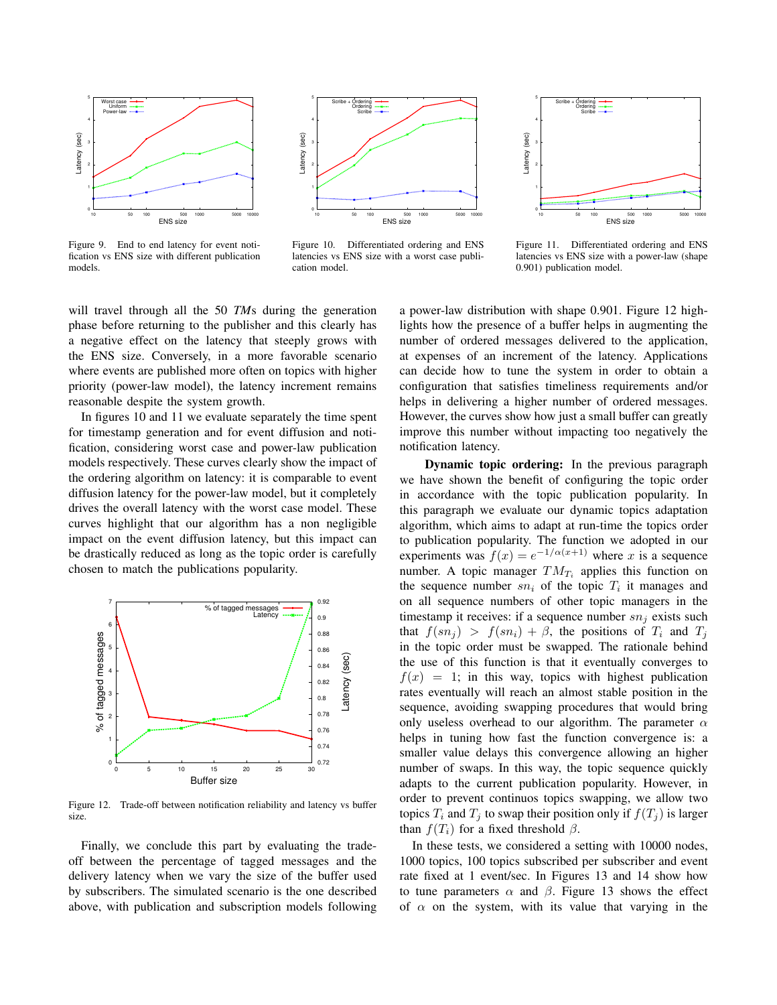

Figure 9. End to end latency for event notification vs ENS size with different publication models.



Figure 10. Differentiated ordering and ENS latencies vs ENS size with a worst case publication model.



Figure 11. Differentiated ordering and ENS latencies vs ENS size with a power-law (shape 0.901) publication model.

will travel through all the 50 *TM*s during the generation phase before returning to the publisher and this clearly has a negative effect on the latency that steeply grows with the ENS size. Conversely, in a more favorable scenario where events are published more often on topics with higher priority (power-law model), the latency increment remains reasonable despite the system growth.

In figures 10 and 11 we evaluate separately the time spent for timestamp generation and for event diffusion and notification, considering worst case and power-law publication models respectively. These curves clearly show the impact of the ordering algorithm on latency: it is comparable to event diffusion latency for the power-law model, but it completely drives the overall latency with the worst case model. These curves highlight that our algorithm has a non negligible impact on the event diffusion latency, but this impact can be drastically reduced as long as the topic order is carefully chosen to match the publications popularity.



Figure 12. Trade-off between notification reliability and latency vs buffer size.

Finally, we conclude this part by evaluating the tradeoff between the percentage of tagged messages and the delivery latency when we vary the size of the buffer used by subscribers. The simulated scenario is the one described above, with publication and subscription models following a power-law distribution with shape 0.901. Figure 12 highlights how the presence of a buffer helps in augmenting the number of ordered messages delivered to the application, at expenses of an increment of the latency. Applications can decide how to tune the system in order to obtain a configuration that satisfies timeliness requirements and/or helps in delivering a higher number of ordered messages. However, the curves show how just a small buffer can greatly improve this number without impacting too negatively the notification latency.

Dynamic topic ordering: In the previous paragraph we have shown the benefit of configuring the topic order in accordance with the topic publication popularity. In this paragraph we evaluate our dynamic topics adaptation algorithm, which aims to adapt at run-time the topics order to publication popularity. The function we adopted in our experiments was  $f(x) = e^{-1/\alpha(x+1)}$  where x is a sequence number. A topic manager  $TM_{T_i}$  applies this function on the sequence number  $sn_i$  of the topic  $T_i$  it manages and on all sequence numbers of other topic managers in the timestamp it receives: if a sequence number  $sn_j$  exists such that  $f(sn_i) > f(sn_i) + \beta$ , the positions of  $T_i$  and  $T_j$ in the topic order must be swapped. The rationale behind the use of this function is that it eventually converges to  $f(x) = 1$ ; in this way, topics with highest publication rates eventually will reach an almost stable position in the sequence, avoiding swapping procedures that would bring only useless overhead to our algorithm. The parameter  $\alpha$ helps in tuning how fast the function convergence is: a smaller value delays this convergence allowing an higher number of swaps. In this way, the topic sequence quickly adapts to the current publication popularity. However, in order to prevent continuos topics swapping, we allow two topics  $T_i$  and  $T_j$  to swap their position only if  $f(T_j)$  is larger than  $f(T_i)$  for a fixed threshold  $\beta$ .

In these tests, we considered a setting with 10000 nodes, 1000 topics, 100 topics subscribed per subscriber and event rate fixed at 1 event/sec. In Figures 13 and 14 show how to tune parameters  $\alpha$  and  $\beta$ . Figure 13 shows the effect of  $\alpha$  on the system, with its value that varying in the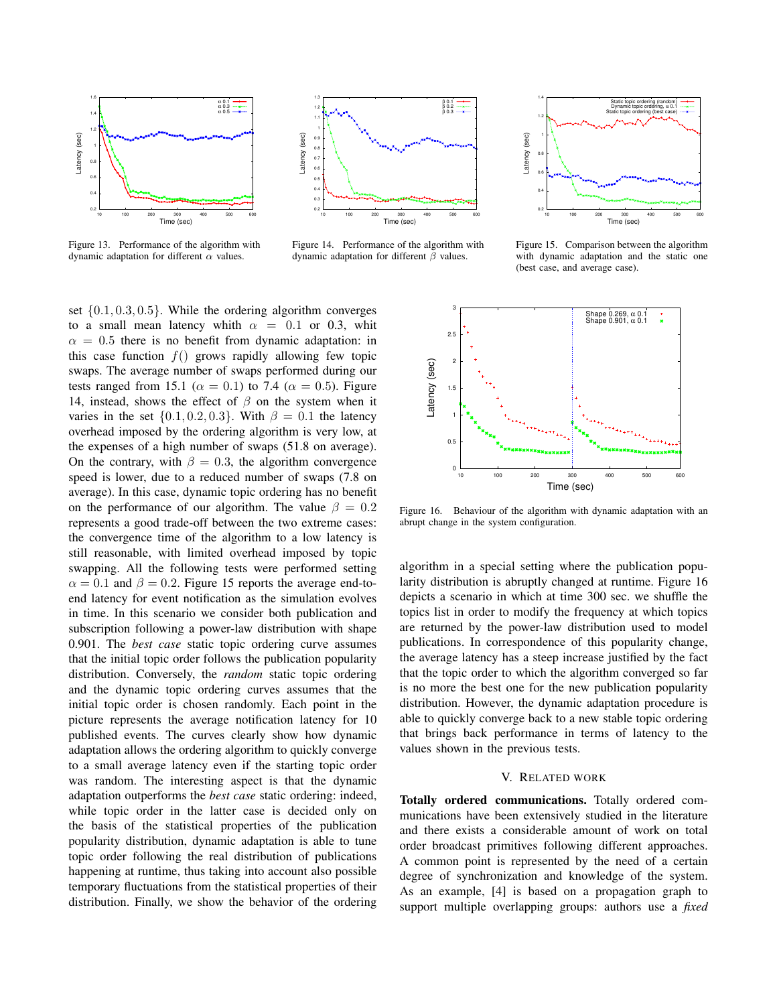

Figure 13. Performance of the algorithm with dynamic adaptation for different  $\alpha$  values.



Figure 14. Performance of the algorithm with dynamic adaptation for different  $\beta$  values.



Figure 15. Comparison between the algorithm with dynamic adaptation and the static one (best case, and average case).



Figure 16. Behaviour of the algorithm with dynamic adaptation with an abrupt change in the system configuration.

algorithm in a special setting where the publication popularity distribution is abruptly changed at runtime. Figure 16 depicts a scenario in which at time 300 sec. we shuffle the topics list in order to modify the frequency at which topics are returned by the power-law distribution used to model publications. In correspondence of this popularity change, the average latency has a steep increase justified by the fact that the topic order to which the algorithm converged so far is no more the best one for the new publication popularity distribution. However, the dynamic adaptation procedure is able to quickly converge back to a new stable topic ordering that brings back performance in terms of latency to the values shown in the previous tests.

# V. RELATED WORK

Totally ordered communications. Totally ordered communications have been extensively studied in the literature and there exists a considerable amount of work on total order broadcast primitives following different approaches. A common point is represented by the need of a certain degree of synchronization and knowledge of the system. As an example, [4] is based on a propagation graph to support multiple overlapping groups: authors use a *fixed*

set  $\{0.1, 0.3, 0.5\}$ . While the ordering algorithm converges to a small mean latency whith  $\alpha = 0.1$  or 0.3, whit  $\alpha = 0.5$  there is no benefit from dynamic adaptation: in this case function  $f()$  grows rapidly allowing few topic swaps. The average number of swaps performed during our tests ranged from 15.1 ( $\alpha = 0.1$ ) to 7.4 ( $\alpha = 0.5$ ). Figure 14, instead, shows the effect of  $\beta$  on the system when it varies in the set  $\{0.1, 0.2, 0.3\}$ . With  $\beta = 0.1$  the latency overhead imposed by the ordering algorithm is very low, at the expenses of a high number of swaps (51.8 on average). On the contrary, with  $\beta = 0.3$ , the algorithm convergence speed is lower, due to a reduced number of swaps (7.8 on average). In this case, dynamic topic ordering has no benefit on the performance of our algorithm. The value  $\beta = 0.2$ represents a good trade-off between the two extreme cases: the convergence time of the algorithm to a low latency is still reasonable, with limited overhead imposed by topic swapping. All the following tests were performed setting  $\alpha = 0.1$  and  $\beta = 0.2$ . Figure 15 reports the average end-toend latency for event notification as the simulation evolves in time. In this scenario we consider both publication and subscription following a power-law distribution with shape 0.901. The *best case* static topic ordering curve assumes that the initial topic order follows the publication popularity distribution. Conversely, the *random* static topic ordering and the dynamic topic ordering curves assumes that the initial topic order is chosen randomly. Each point in the picture represents the average notification latency for 10 published events. The curves clearly show how dynamic adaptation allows the ordering algorithm to quickly converge to a small average latency even if the starting topic order was random. The interesting aspect is that the dynamic adaptation outperforms the *best case* static ordering: indeed, while topic order in the latter case is decided only on the basis of the statistical properties of the publication popularity distribution, dynamic adaptation is able to tune topic order following the real distribution of publications happening at runtime, thus taking into account also possible temporary fluctuations from the statistical properties of their distribution. Finally, we show the behavior of the ordering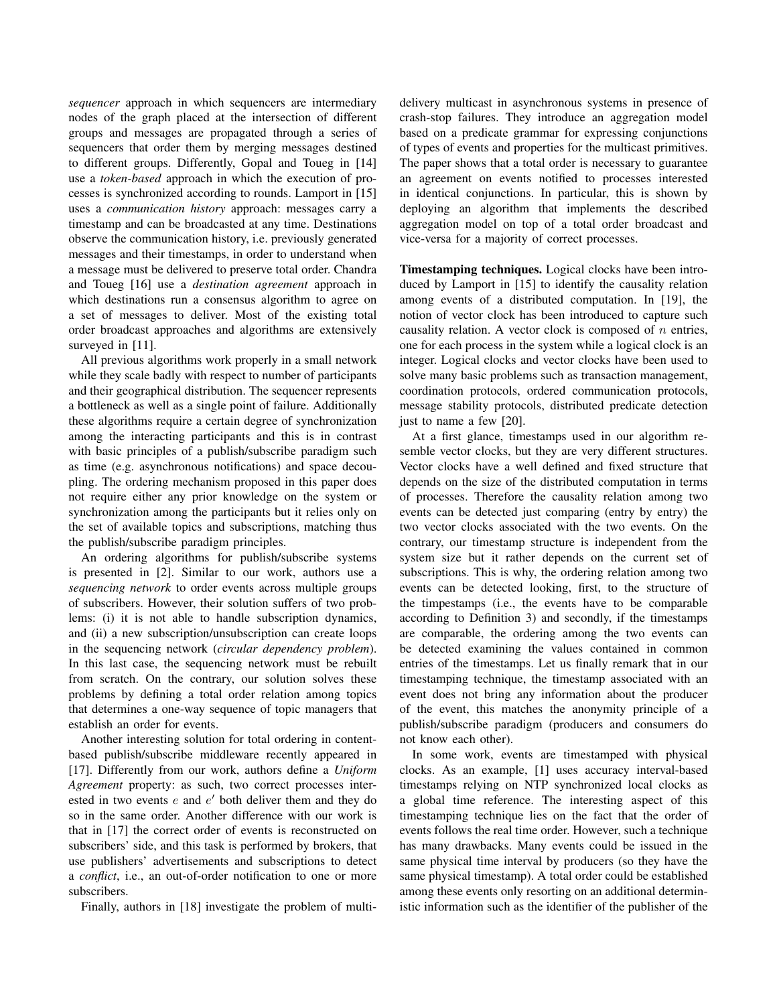*sequencer* approach in which sequencers are intermediary nodes of the graph placed at the intersection of different groups and messages are propagated through a series of sequencers that order them by merging messages destined to different groups. Differently, Gopal and Toueg in [14] use a *token-based* approach in which the execution of processes is synchronized according to rounds. Lamport in [15] uses a *communication history* approach: messages carry a timestamp and can be broadcasted at any time. Destinations observe the communication history, i.e. previously generated messages and their timestamps, in order to understand when a message must be delivered to preserve total order. Chandra and Toueg [16] use a *destination agreement* approach in which destinations run a consensus algorithm to agree on a set of messages to deliver. Most of the existing total order broadcast approaches and algorithms are extensively surveyed in [11].

All previous algorithms work properly in a small network while they scale badly with respect to number of participants and their geographical distribution. The sequencer represents a bottleneck as well as a single point of failure. Additionally these algorithms require a certain degree of synchronization among the interacting participants and this is in contrast with basic principles of a publish/subscribe paradigm such as time (e.g. asynchronous notifications) and space decoupling. The ordering mechanism proposed in this paper does not require either any prior knowledge on the system or synchronization among the participants but it relies only on the set of available topics and subscriptions, matching thus the publish/subscribe paradigm principles.

An ordering algorithms for publish/subscribe systems is presented in [2]. Similar to our work, authors use a *sequencing network* to order events across multiple groups of subscribers. However, their solution suffers of two problems: (i) it is not able to handle subscription dynamics, and (ii) a new subscription/unsubscription can create loops in the sequencing network (*circular dependency problem*). In this last case, the sequencing network must be rebuilt from scratch. On the contrary, our solution solves these problems by defining a total order relation among topics that determines a one-way sequence of topic managers that establish an order for events.

Another interesting solution for total ordering in contentbased publish/subscribe middleware recently appeared in [17]. Differently from our work, authors define a *Uniform Agreement* property: as such, two correct processes interested in two events  $e$  and  $e'$  both deliver them and they do so in the same order. Another difference with our work is that in [17] the correct order of events is reconstructed on subscribers' side, and this task is performed by brokers, that use publishers' advertisements and subscriptions to detect a *conflict*, i.e., an out-of-order notification to one or more subscribers.

Finally, authors in [18] investigate the problem of multi-

delivery multicast in asynchronous systems in presence of crash-stop failures. They introduce an aggregation model based on a predicate grammar for expressing conjunctions of types of events and properties for the multicast primitives. The paper shows that a total order is necessary to guarantee an agreement on events notified to processes interested in identical conjunctions. In particular, this is shown by deploying an algorithm that implements the described aggregation model on top of a total order broadcast and vice-versa for a majority of correct processes.

Timestamping techniques. Logical clocks have been introduced by Lamport in [15] to identify the causality relation among events of a distributed computation. In [19], the notion of vector clock has been introduced to capture such causality relation. A vector clock is composed of  $n$  entries, one for each process in the system while a logical clock is an integer. Logical clocks and vector clocks have been used to solve many basic problems such as transaction management, coordination protocols, ordered communication protocols, message stability protocols, distributed predicate detection just to name a few [20].

At a first glance, timestamps used in our algorithm resemble vector clocks, but they are very different structures. Vector clocks have a well defined and fixed structure that depends on the size of the distributed computation in terms of processes. Therefore the causality relation among two events can be detected just comparing (entry by entry) the two vector clocks associated with the two events. On the contrary, our timestamp structure is independent from the system size but it rather depends on the current set of subscriptions. This is why, the ordering relation among two events can be detected looking, first, to the structure of the timpestamps (i.e., the events have to be comparable according to Definition 3) and secondly, if the timestamps are comparable, the ordering among the two events can be detected examining the values contained in common entries of the timestamps. Let us finally remark that in our timestamping technique, the timestamp associated with an event does not bring any information about the producer of the event, this matches the anonymity principle of a publish/subscribe paradigm (producers and consumers do not know each other).

In some work, events are timestamped with physical clocks. As an example, [1] uses accuracy interval-based timestamps relying on NTP synchronized local clocks as a global time reference. The interesting aspect of this timestamping technique lies on the fact that the order of events follows the real time order. However, such a technique has many drawbacks. Many events could be issued in the same physical time interval by producers (so they have the same physical timestamp). A total order could be established among these events only resorting on an additional deterministic information such as the identifier of the publisher of the